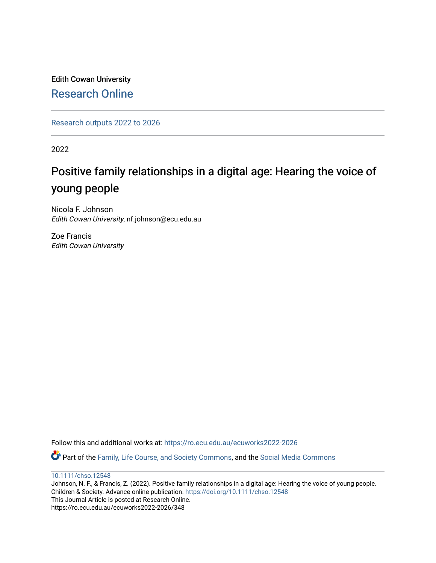Edith Cowan University [Research Online](https://ro.ecu.edu.au/) 

[Research outputs 2022 to 2026](https://ro.ecu.edu.au/ecuworks2022-2026) 

2022

# Positive family relationships in a digital age: Hearing the voice of young people

Nicola F. Johnson Edith Cowan University, nf.johnson@ecu.edu.au

Zoe Francis Edith Cowan University

Follow this and additional works at: [https://ro.ecu.edu.au/ecuworks2022-2026](https://ro.ecu.edu.au/ecuworks2022-2026?utm_source=ro.ecu.edu.au%2Fecuworks2022-2026%2F348&utm_medium=PDF&utm_campaign=PDFCoverPages)

Part of the [Family, Life Course, and Society Commons,](http://network.bepress.com/hgg/discipline/419?utm_source=ro.ecu.edu.au%2Fecuworks2022-2026%2F348&utm_medium=PDF&utm_campaign=PDFCoverPages) and the [Social Media Commons](http://network.bepress.com/hgg/discipline/1249?utm_source=ro.ecu.edu.au%2Fecuworks2022-2026%2F348&utm_medium=PDF&utm_campaign=PDFCoverPages)

[10.1111/chso.12548](http://dx.doi.org/10.1111/chso.12548)

Johnson, N. F., & Francis, Z. (2022). Positive family relationships in a digital age: Hearing the voice of young people. Children & Society. Advance online publication. <https://doi.org/10.1111/chso.12548> This Journal Article is posted at Research Online. https://ro.ecu.edu.au/ecuworks2022-2026/348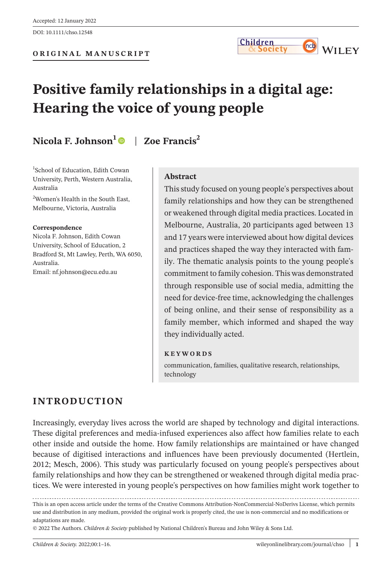

# **Positive family relationships in a digital age: Hearing the voice of young people**

# **Nicola F. Johnson<sup>1</sup> | Zoe Francis<sup>2</sup>**

1 School of Education, Edith Cowan University, Perth, Western Australia, Australia

2 Women's Health in the South East, Melbourne, Victoria, Australia

#### **Correspondence**

Nicola F. Johnson, Edith Cowan University, School of Education, 2 Bradford St, Mt Lawley, Perth, WA 6050, Australia. Email: [nf.johnson@ecu.edu.au](mailto:nf.johnson@ecu.edu.au)

#### **Abstract**

This study focused on young people's perspectives about family relationships and how they can be strengthened or weakened through digital media practices. Located in Melbourne, Australia, 20 participants aged between 13 and 17 years were interviewed about how digital devices and practices shaped the way they interacted with family. The thematic analysis points to the young people's commitment to family cohesion. This was demonstrated through responsible use of social media, admitting the need for device-free time, acknowledging the challenges of being online, and their sense of responsibility as a family member, which informed and shaped the way they individually acted.

#### **KEYWORDS**

communication, families, qualitative research, relationships, technology

# **INTRODUCTION**

Increasingly, everyday lives across the world are shaped by technology and digital interactions. These digital preferences and media-infused experiences also affect how families relate to each other inside and outside the home. How family relationships are maintained or have changed because of digitised interactions and influences have been previously documented (Hertlein, 2012; Mesch, 2006). This study was particularly focused on young people's perspectives about family relationships and how they can be strengthened or weakened through digital media practices. We were interested in young people's perspectives on how families might work together to

This is an open access article under the terms of the Creative Commons Attribution-NonCommercial-NoDerivs License, which permits use and distribution in any medium, provided the original work is properly cited, the use is non-commercial and no modifications or adaptations are made.

© 2022 The Authors. *Children & Society* published by National Children's Bureau and John Wiley & Sons Ltd.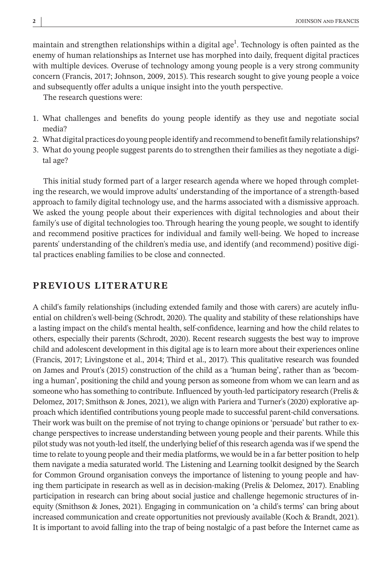maintain and strengthen relationships within a digital age $^{\rm l}$ . Technology is often painted as the enemy of human relationships as Internet use has morphed into daily, frequent digital practices with multiple devices. Overuse of technology among young people is a very strong community concern (Francis, 2017; Johnson, 2009, 2015). This research sought to give young people a voice and subsequently offer adults a unique insight into the youth perspective.

The research questions were:

- 1. What challenges and benefits do young people identify as they use and negotiate social media?
- 2. What digital practices do young people identify and recommend to benefit family relationships?
- 3. What do young people suggest parents do to strengthen their families as they negotiate a digital age?

This initial study formed part of a larger research agenda where we hoped through completing the research, we would improve adults' understanding of the importance of a strength-based approach to family digital technology use, and the harms associated with a dismissive approach. We asked the young people about their experiences with digital technologies and about their family's use of digital technologies too. Through hearing the young people, we sought to identify and recommend positive practices for individual and family well-being. We hoped to increase parents' understanding of the children's media use, and identify (and recommend) positive digital practices enabling families to be close and connected.

# **PREVIOUS LITERATURE**

A child's family relationships (including extended family and those with carers) are acutely influential on children's well-being (Schrodt, 2020). The quality and stability of these relationships have a lasting impact on the child's mental health, self-confidence, learning and how the child relates to others, especially their parents (Schrodt, 2020). Recent research suggests the best way to improve child and adolescent development in this digital age is to learn more about their experiences online (Francis, 2017; Livingstone et al., 2014; Third et al., 2017). This qualitative research was founded on James and Prout's (2015) construction of the child as a 'human being', rather than as 'becoming a human', positioning the child and young person as someone from whom we can learn and as someone who has something to contribute. Influenced by youth-led participatory research (Prelis & Delomez, 2017; Smithson & Jones, 2021), we align with Pariera and Turner's (2020) explorative approach which identified contributions young people made to successful parent-child conversations. Their work was built on the premise of not trying to change opinions or 'persuade' but rather to exchange perspectives to increase understanding between young people and their parents. While this pilot study was not youth-led itself, the underlying belief of this research agenda was if we spend the time to relate to young people and their media platforms, we would be in a far better position to help them navigate a media saturated world. The Listening and Learning toolkit designed by the Search for Common Ground organisation conveys the importance of listening to young people and having them participate in research as well as in decision-making (Prelis & Delomez, 2017). Enabling participation in research can bring about social justice and challenge hegemonic structures of inequity (Smithson & Jones, 2021). Engaging in communication on 'a child's terms' can bring about increased communication and create opportunities not previously available (Koch & Brandt, 2021). It is important to avoid falling into the trap of being nostalgic of a past before the Internet came as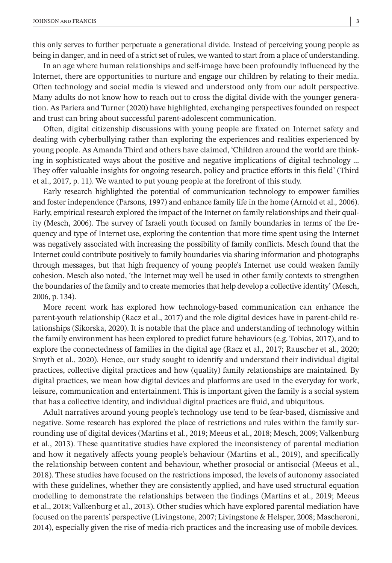this only serves to further perpetuate a generational divide. Instead of perceiving young people as being in danger, and in need of a strict set of rules, we wanted to start from a place of understanding.

In an age where human relationships and self-image have been profoundly influenced by the Internet, there are opportunities to nurture and engage our children by relating to their media. Often technology and social media is viewed and understood only from our adult perspective. Many adults do not know how to reach out to cross the digital divide with the younger generation. As Pariera and Turner (2020) have highlighted, exchanging perspectives founded on respect and trust can bring about successful parent-adolescent communication.

Often, digital citizenship discussions with young people are fixated on Internet safety and dealing with cyberbullying rather than exploring the experiences and realities experienced by young people. As Amanda Third and others have claimed, 'Children around the world are thinking in sophisticated ways about the positive and negative implications of digital technology … They offer valuable insights for ongoing research, policy and practice efforts in this field' (Third et al., 2017, p. 11). We wanted to put young people at the forefront of this study.

Early research highlighted the potential of communication technology to empower families and foster independence (Parsons, 1997) and enhance family life in the home (Arnold et al., 2006). Early, empirical research explored the impact of the Internet on family relationships and their quality (Mesch, 2006). The survey of Israeli youth focused on family boundaries in terms of the frequency and type of Internet use, exploring the contention that more time spent using the Internet was negatively associated with increasing the possibility of family conflicts. Mesch found that the Internet could contribute positively to family boundaries via sharing information and photographs through messages, but that high frequency of young people's Internet use could weaken family cohesion. Mesch also noted, 'the Internet may well be used in other family contexts to strengthen the boundaries of the family and to create memories that help develop a collective identity' (Mesch, 2006, p. 134).

More recent work has explored how technology-based communication can enhance the parent-youth relationship (Racz et al., 2017) and the role digital devices have in parent-child relationships (Sikorska, 2020). It is notable that the place and understanding of technology within the family environment has been explored to predict future behaviours (e.g. Tobias, 2017), and to explore the connectedness of families in the digital age (Racz et al., 2017; Rauscher et al., 2020; Smyth et al., 2020). Hence, our study sought to identify and understand their individual digital practices, collective digital practices and how (quality) family relationships are maintained. By digital practices, we mean how digital devices and platforms are used in the everyday for work, leisure, communication and entertainment. This is important given the family is a social system that has a collective identity, and individual digital practices are fluid, and ubiquitous.

Adult narratives around young people's technology use tend to be fear-based, dismissive and negative. Some research has explored the place of restrictions and rules within the family surrounding use of digital devices (Martins et al., 2019; Meeus et al., 2018; Mesch, 2009; Valkenburg et al., 2013). These quantitative studies have explored the inconsistency of parental mediation and how it negatively affects young people's behaviour (Martins et al., 2019), and specifically the relationship between content and behaviour, whether prosocial or antisocial (Meeus et al., 2018). These studies have focused on the restrictions imposed, the levels of autonomy associated with these guidelines, whether they are consistently applied, and have used structural equation modelling to demonstrate the relationships between the findings (Martins et al., 2019; Meeus et al., 2018; Valkenburg et al., 2013). Other studies which have explored parental mediation have focused on the parents' perspective (Livingstone, 2007; Livingstone & Helsper, 2008; Mascheroni, 2014), especially given the rise of media-rich practices and the increasing use of mobile devices.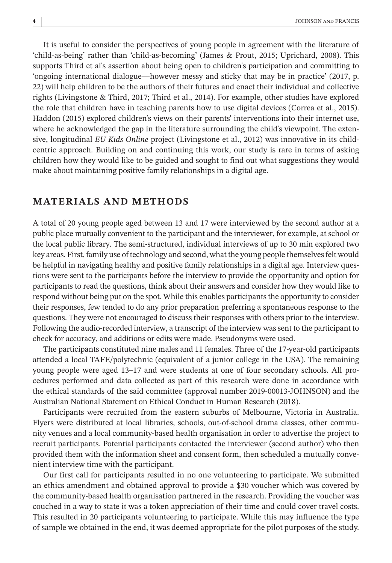It is useful to consider the perspectives of young people in agreement with the literature of 'child-as-being' rather than 'child-as-becoming' (James & Prout, 2015; Uprichard, 2008). This supports Third et al's assertion about being open to children's participation and committing to 'ongoing international dialogue—however messy and sticky that may be in practice' (2017, p. 22) will help children to be the authors of their futures and enact their individual and collective rights (Livingstone & Third, 2017; Third et al., 2014). For example, other studies have explored the role that children have in teaching parents how to use digital devices (Correa et al., 2015). Haddon (2015) explored children's views on their parents' interventions into their internet use, where he acknowledged the gap in the literature surrounding the child's viewpoint. The extensive, longitudinal *EU Kids Online* project (Livingstone et al., 2012) was innovative in its childcentric approach. Building on and continuing this work, our study is rare in terms of asking children how they would like to be guided and sought to find out what suggestions they would make about maintaining positive family relationships in a digital age.

#### **MATERIALS AND METHODS**

A total of 20 young people aged between 13 and 17 were interviewed by the second author at a public place mutually convenient to the participant and the interviewer, for example, at school or the local public library. The semi-structured, individual interviews of up to 30 min explored two key areas. First, family use of technology and second, what the young people themselves felt would be helpful in navigating healthy and positive family relationships in a digital age. Interview questions were sent to the participants before the interview to provide the opportunity and option for participants to read the questions, think about their answers and consider how they would like to respond without being put on the spot. While this enables participants the opportunity to consider their responses, few tended to do any prior preparation preferring a spontaneous response to the questions. They were not encouraged to discuss their responses with others prior to the interview. Following the audio-recorded interview, a transcript of the interview was sent to the participant to check for accuracy, and additions or edits were made. Pseudonyms were used.

The participants constituted nine males and 11 females. Three of the 17-year-old participants attended a local TAFE/polytechnic (equivalent of a junior college in the USA). The remaining young people were aged 13–17 and were students at one of four secondary schools. All procedures performed and data collected as part of this research were done in accordance with the ethical standards of the said committee (approval number 2019-00013-JOHNSON) and the Australian National Statement on Ethical Conduct in Human Research (2018).

Participants were recruited from the eastern suburbs of Melbourne, Victoria in Australia. Flyers were distributed at local libraries, schools, out-of-school drama classes, other community venues and a local community-based health organisation in order to advertise the project to recruit participants. Potential participants contacted the interviewer (second author) who then provided them with the information sheet and consent form, then scheduled a mutually convenient interview time with the participant.

Our first call for participants resulted in no one volunteering to participate. We submitted an ethics amendment and obtained approval to provide a \$30 voucher which was covered by the community-based health organisation partnered in the research. Providing the voucher was couched in a way to state it was a token appreciation of their time and could cover travel costs. This resulted in 20 participants volunteering to participate. While this may influence the type of sample we obtained in the end, it was deemed appropriate for the pilot purposes of the study.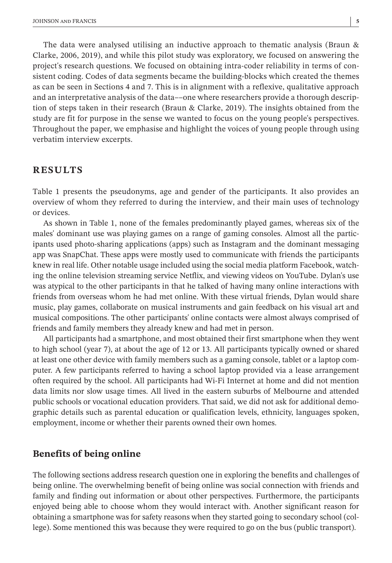The data were analysed utilising an inductive approach to thematic analysis (Braun & Clarke, 2006, 2019), and while this pilot study was exploratory, we focused on answering the project's research questions. We focused on obtaining intra-coder reliability in terms of consistent coding. Codes of data segments became the building-blocks which created the themes as can be seen in Sections 4 and 7. This is in alignment with a reflexive, qualitative approach and an interpretative analysis of the data––one where researchers provide a thorough description of steps taken in their research (Braun & Clarke, 2019). The insights obtained from the study are fit for purpose in the sense we wanted to focus on the young people's perspectives. Throughout the paper, we emphasise and highlight the voices of young people through using verbatim interview excerpts.

# **RESULTS**

Table 1 presents the pseudonyms, age and gender of the participants. It also provides an overview of whom they referred to during the interview, and their main uses of technology or devices.

As shown in Table 1, none of the females predominantly played games, whereas six of the males' dominant use was playing games on a range of gaming consoles. Almost all the participants used photo-sharing applications (apps) such as Instagram and the dominant messaging app was SnapChat. These apps were mostly used to communicate with friends the participants knew in real life. Other notable usage included using the social media platform Facebook, watching the online television streaming service Netflix, and viewing videos on YouTube. Dylan's use was atypical to the other participants in that he talked of having many online interactions with friends from overseas whom he had met online. With these virtual friends, Dylan would share music, play games, collaborate on musical instruments and gain feedback on his visual art and musical compositions. The other participants' online contacts were almost always comprised of friends and family members they already knew and had met in person.

All participants had a smartphone, and most obtained their first smartphone when they went to high school (year 7), at about the age of 12 or 13. All participants typically owned or shared at least one other device with family members such as a gaming console, tablet or a laptop computer. A few participants referred to having a school laptop provided via a lease arrangement often required by the school. All participants had Wi-Fi Internet at home and did not mention data limits nor slow usage times. All lived in the eastern suburbs of Melbourne and attended public schools or vocational education providers. That said, we did not ask for additional demographic details such as parental education or qualification levels, ethnicity, languages spoken, employment, income or whether their parents owned their own homes.

#### **Benefits of being online**

The following sections address research question one in exploring the benefits and challenges of being online. The overwhelming benefit of being online was social connection with friends and family and finding out information or about other perspectives. Furthermore, the participants enjoyed being able to choose whom they would interact with. Another significant reason for obtaining a smartphone was for safety reasons when they started going to secondary school (college). Some mentioned this was because they were required to go on the bus (public transport).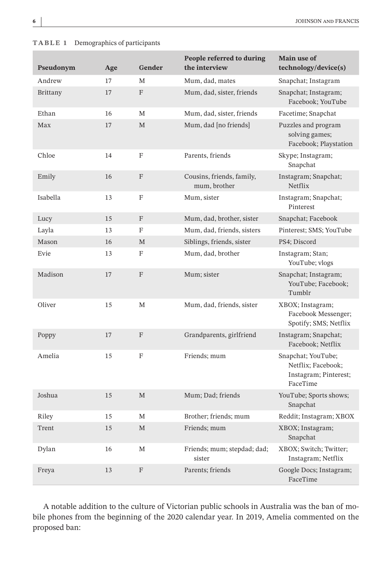| $\Gamma$ ADLE 1 Demographies of participants |     |                           |                                            |                                                                               |
|----------------------------------------------|-----|---------------------------|--------------------------------------------|-------------------------------------------------------------------------------|
| Pseudonym                                    | Age | Gender                    | People referred to during<br>the interview | Main use of<br>technology/device(s)                                           |
| Andrew                                       | 17  | М                         | Mum, dad, mates                            | Snapchat; Instagram                                                           |
| Brittany                                     | 17  | F                         | Mum, dad, sister, friends                  | Snapchat; Instagram;<br>Facebook; YouTube                                     |
| Ethan                                        | 16  | М                         | Mum, dad, sister, friends                  | Facetime; Snapchat                                                            |
| Max                                          | 17  | $\mathbf M$               | Mum, dad [no friends]                      | Puzzles and program<br>solving games;<br>Facebook; Playstation                |
| Chloe                                        | 14  | $\rm F$                   | Parents, friends                           | Skype; Instagram;<br>Snapchat                                                 |
| Emily                                        | 16  | F                         | Cousins, friends, family,<br>mum, brother  | Instagram; Snapchat;<br>Netflix                                               |
| Isabella                                     | 13  | F                         | Mum, sister                                | Instagram; Snapchat;<br>Pinterest                                             |
| Lucy                                         | 15  | F                         | Mum, dad, brother, sister                  | Snapchat; Facebook                                                            |
| Layla                                        | 13  | F                         | Mum, dad, friends, sisters                 | Pinterest; SMS; YouTube                                                       |
| Mason                                        | 16  | M                         | Siblings, friends, sister                  | PS4; Discord                                                                  |
| Evie                                         | 13  | F                         | Mum, dad, brother                          | Instagram; Stan;<br>YouTube; vlogs                                            |
| Madison                                      | 17  | F                         | Mum; sister                                | Snapchat; Instagram;<br>YouTube; Facebook;<br>Tumblr                          |
| Oliver                                       | 15  | M                         | Mum, dad, friends, sister                  | XBOX; Instagram;<br>Facebook Messenger;<br>Spotify; SMS; Netflix              |
| Poppy                                        | 17  | F                         | Grandparents, girlfriend                   | Instagram; Snapchat;<br>Facebook; Netflix                                     |
| Amelia                                       | 15  | F                         | Friends; mum                               | Snapchat; YouTube;<br>Netflix; Facebook;<br>Instagram; Pinterest;<br>FaceTime |
| Joshua                                       | 15  | M                         | Mum; Dad; friends                          | YouTube; Sports shows;<br>Snapchat                                            |
| Riley                                        | 15  | M                         | Brother; friends; mum                      | Reddit; Instagram; XBOX                                                       |
| Trent                                        | 15  | $\mathbf M$               | Friends; mum                               | XBOX; Instagram;<br>Snapchat                                                  |
| Dylan                                        | 16  | M                         | Friends; mum; stepdad; dad;<br>sister      | XBOX; Switch; Twitter;<br>Instagram; Netflix                                  |
| Freya                                        | 13  | $\boldsymbol{\mathrm{F}}$ | Parents; friends                           | Google Docs; Instagram;<br>FaceTime                                           |
|                                              |     |                           |                                            |                                                                               |

**TABLE 1** Demographics of participants

A notable addition to the culture of Victorian public schools in Australia was the ban of mobile phones from the beginning of the 2020 calendar year. In 2019, Amelia commented on the proposed ban: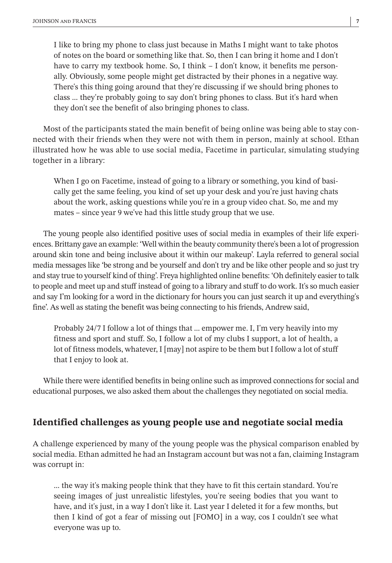I like to bring my phone to class just because in Maths I might want to take photos of notes on the board or something like that. So, then I can bring it home and I don't have to carry my textbook home. So, I think – I don't know, it benefits me personally. Obviously, some people might get distracted by their phones in a negative way. There's this thing going around that they're discussing if we should bring phones to class … they're probably going to say don't bring phones to class. But it's hard when they don't see the benefit of also bringing phones to class.

Most of the participants stated the main benefit of being online was being able to stay connected with their friends when they were not with them in person, mainly at school. Ethan illustrated how he was able to use social media, Facetime in particular, simulating studying together in a library:

When I go on Facetime, instead of going to a library or something, you kind of basically get the same feeling, you kind of set up your desk and you're just having chats about the work, asking questions while you're in a group video chat. So, me and my mates – since year 9 we've had this little study group that we use.

The young people also identified positive uses of social media in examples of their life experiences. Brittany gave an example: 'Well within the beauty community there's been a lot of progression around skin tone and being inclusive about it within our makeup'. Layla referred to general social media messages like 'be strong and be yourself and don't try and be like other people and so just try and stay true to yourself kind of thing'. Freya highlighted online benefits: 'Oh definitely easier to talk to people and meet up and stuff instead of going to a library and stuff to do work. It's so much easier and say I'm looking for a word in the dictionary for hours you can just search it up and everything's fine'. As well as stating the benefit was being connecting to his friends, Andrew said,

Probably 24/7 I follow a lot of things that … empower me. I, I'm very heavily into my fitness and sport and stuff. So, I follow a lot of my clubs I support, a lot of health, a lot of fitness models, whatever, I [may] not aspire to be them but I follow a lot of stuff that I enjoy to look at.

While there were identified benefits in being online such as improved connections for social and educational purposes, we also asked them about the challenges they negotiated on social media.

# **Identified challenges as young people use and negotiate social media**

A challenge experienced by many of the young people was the physical comparison enabled by social media. Ethan admitted he had an Instagram account but was not a fan, claiming Instagram was corrupt in:

… the way it's making people think that they have to fit this certain standard. You're seeing images of just unrealistic lifestyles, you're seeing bodies that you want to have, and it's just, in a way I don't like it. Last year I deleted it for a few months, but then I kind of got a fear of missing out [FOMO] in a way, cos I couldn't see what everyone was up to.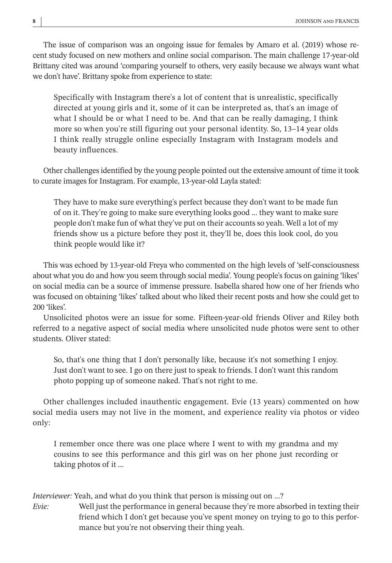The issue of comparison was an ongoing issue for females by Amaro et al. (2019) whose recent study focused on new mothers and online social comparison. The main challenge 17-year-old Brittany cited was around 'comparing yourself to others, very easily because we always want what we don't have'. Brittany spoke from experience to state:

Specifically with Instagram there's a lot of content that is unrealistic, specifically directed at young girls and it, some of it can be interpreted as, that's an image of what I should be or what I need to be. And that can be really damaging, I think more so when you're still figuring out your personal identity. So, 13–14 year olds I think really struggle online especially Instagram with Instagram models and beauty influences.

Other challenges identified by the young people pointed out the extensive amount of time it took to curate images for Instagram. For example, 13-year-old Layla stated:

They have to make sure everything's perfect because they don't want to be made fun of on it. They're going to make sure everything looks good … they want to make sure people don't make fun of what they've put on their accounts so yeah. Well a lot of my friends show us a picture before they post it, they'll be, does this look cool, do you think people would like it?

This was echoed by 13-year-old Freya who commented on the high levels of 'self-consciousness about what you do and how you seem through social media'. Young people's focus on gaining 'likes' on social media can be a source of immense pressure. Isabella shared how one of her friends who was focused on obtaining 'likes' talked about who liked their recent posts and how she could get to 200 'likes'.

Unsolicited photos were an issue for some. Fifteen-year-old friends Oliver and Riley both referred to a negative aspect of social media where unsolicited nude photos were sent to other students. Oliver stated:

So, that's one thing that I don't personally like, because it's not something I enjoy. Just don't want to see. I go on there just to speak to friends. I don't want this random photo popping up of someone naked. That's not right to me.

Other challenges included inauthentic engagement. Evie (13 years) commented on how social media users may not live in the moment, and experience reality via photos or video only:

I remember once there was one place where I went to with my grandma and my cousins to see this performance and this girl was on her phone just recording or taking photos of it …

*Interviewer:* Yeah, and what do you think that person is missing out on …?

*Evie:* Well just the performance in general because they're more absorbed in texting their friend which I don't get because you've spent money on trying to go to this performance but you're not observing their thing yeah.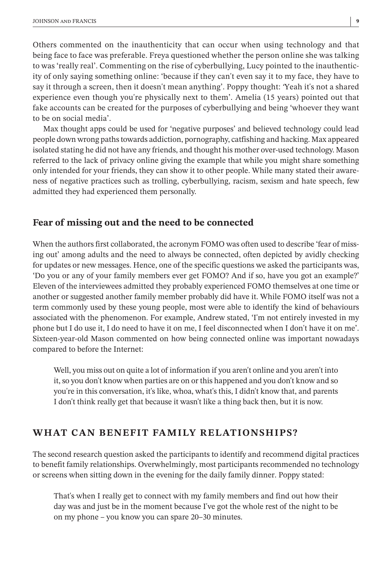Others commented on the inauthenticity that can occur when using technology and that being face to face was preferable. Freya questioned whether the person online she was talking to was 'really real'. Commenting on the rise of cyberbullying, Lucy pointed to the inauthenticity of only saying something online: 'because if they can't even say it to my face, they have to say it through a screen, then it doesn't mean anything'. Poppy thought: *'*Yeah it's not a shared experience even though you're physically next to them'. Amelia (15 years) pointed out that fake accounts can be created for the purposes of cyberbullying and being 'whoever they want to be on social media'.

Max thought apps could be used for 'negative purposes' and believed technology could lead people down wrong paths towards addiction, pornography, catfishing and hacking. Max appeared isolated stating he did not have any friends, and thought his mother over-used technology. Mason referred to the lack of privacy online giving the example that while you might share something only intended for your friends, they can show it to other people. While many stated their awareness of negative practices such as trolling, cyberbullying, racism, sexism and hate speech, few admitted they had experienced them personally.

#### **Fear of missing out and the need to be connected**

When the authors first collaborated, the acronym FOMO was often used to describe 'fear of missing out' among adults and the need to always be connected, often depicted by avidly checking for updates or new messages. Hence, one of the specific questions we asked the participants was, 'Do you or any of your family members ever get FOMO? And if so, have you got an example?' Eleven of the interviewees admitted they probably experienced FOMO themselves at one time or another or suggested another family member probably did have it. While FOMO itself was not a term commonly used by these young people, most were able to identify the kind of behaviours associated with the phenomenon. For example, Andrew stated, 'I'm not entirely invested in my phone but I do use it, I do need to have it on me, I feel disconnected when I don't have it on me'. Sixteen-year-old Mason commented on how being connected online was important nowadays compared to before the Internet:

Well, you miss out on quite a lot of information if you aren't online and you aren't into it, so you don't know when parties are on or this happened and you don't know and so you're in this conversation, it's like, whoa, what's this, I didn't know that, and parents I don't think really get that because it wasn't like a thing back then, but it is now.

# **WHAT CAN BENEFIT FAMILY RELATIONSHIPS?**

The second research question asked the participants to identify and recommend digital practices to benefit family relationships. Overwhelmingly, most participants recommended no technology or screens when sitting down in the evening for the daily family dinner. Poppy stated:

That's when I really get to connect with my family members and find out how their day was and just be in the moment because I've got the whole rest of the night to be on my phone – you know you can spare 20–30 minutes.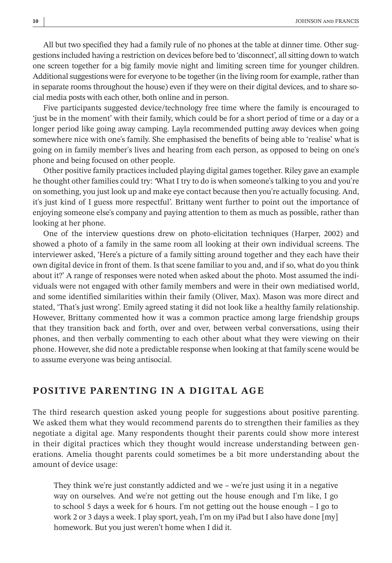All but two specified they had a family rule of no phones at the table at dinner time. Other suggestions included having a restriction on devices before bed to 'disconnect', all sitting down to watch one screen together for a big family movie night and limiting screen time for younger children. Additional suggestions were for everyone to be together (in the living room for example, rather than in separate rooms throughout the house) even if they were on their digital devices, and to share social media posts with each other, both online and in person.

Five participants suggested device/technology free time where the family is encouraged to 'just be in the moment' with their family, which could be for a short period of time or a day or a longer period like going away camping. Layla recommended putting away devices when going somewhere nice with one's family. She emphasised the benefits of being able to 'realise' what is going on in family member's lives and hearing from each person, as opposed to being on one's phone and being focused on other people.

Other positive family practices included playing digital games together. Riley gave an example he thought other families could try: *'*What I try to do is when someone's talking to you and you're on something, you just look up and make eye contact because then you're actually focusing. And, it's just kind of I guess more respectful'. Brittany went further to point out the importance of enjoying someone else's company and paying attention to them as much as possible, rather than looking at her phone.

One of the interview questions drew on photo-elicitation techniques (Harper, 2002) and showed a photo of a family in the same room all looking at their own individual screens. The interviewer asked, 'Here's a picture of a family sitting around together and they each have their own digital device in front of them. Is that scene familiar to you and, and if so, what do you think about it?' A range of responses were noted when asked about the photo. Most assumed the individuals were not engaged with other family members and were in their own mediatised world, and some identified similarities within their family (Oliver, Max). Mason was more direct and stated, 'That's just wrong'. Emily agreed stating it did not look like a healthy family relationship. However, Brittany commented how it was a common practice among large friendship groups that they transition back and forth, over and over, between verbal conversations, using their phones, and then verbally commenting to each other about what they were viewing on their phone. However, she did note a predictable response when looking at that family scene would be to assume everyone was being antisocial.

### **POSITIVE PARENTING IN A DIGITAL AGE**

The third research question asked young people for suggestions about positive parenting. We asked them what they would recommend parents do to strengthen their families as they negotiate a digital age. Many respondents thought their parents could show more interest in their digital practices which they thought would increase understanding between generations. Amelia thought parents could sometimes be a bit more understanding about the amount of device usage:

They think we're just constantly addicted and we – we're just using it in a negative way on ourselves. And we're not getting out the house enough and I'm like, I go to school 5 days a week for 6 hours. I'm not getting out the house enough – I go to work 2 or 3 days a week. I play sport, yeah, I'm on my iPad but I also have done [my] homework. But you just weren't home when I did it.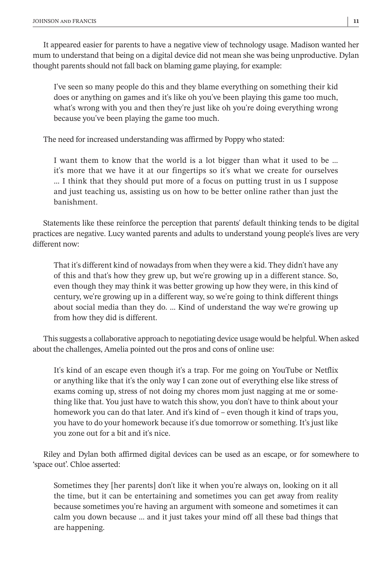It appeared easier for parents to have a negative view of technology usage. Madison wanted her mum to understand that being on a digital device did not mean she was being unproductive. Dylan thought parents should not fall back on blaming game playing, for example:

I've seen so many people do this and they blame everything on something their kid does or anything on games and it's like oh you've been playing this game too much, what's wrong with you and then they're just like oh you're doing everything wrong because you've been playing the game too much.

The need for increased understanding was affirmed by Poppy who stated:

I want them to know that the world is a lot bigger than what it used to be … it's more that we have it at our fingertips so it's what we create for ourselves … I think that they should put more of a focus on putting trust in us I suppose and just teaching us, assisting us on how to be better online rather than just the banishment.

Statements like these reinforce the perception that parents' default thinking tends to be digital practices are negative. Lucy wanted parents and adults to understand young people's lives are very different now:

That it's different kind of nowadays from when they were a kid. They didn't have any of this and that's how they grew up, but we're growing up in a different stance. So, even though they may think it was better growing up how they were, in this kind of century, we're growing up in a different way, so we're going to think different things about social media than they do. … Kind of understand the way we're growing up from how they did is different.

This suggests a collaborative approach to negotiating device usage would be helpful. When asked about the challenges, Amelia pointed out the pros and cons of online use:

It's kind of an escape even though it's a trap. For me going on YouTube or Netflix or anything like that it's the only way I can zone out of everything else like stress of exams coming up, stress of not doing my chores mom just nagging at me or something like that. You just have to watch this show, you don't have to think about your homework you can do that later. And it's kind of – even though it kind of traps you, you have to do your homework because it's due tomorrow or something. It's just like you zone out for a bit and it's nice.

Riley and Dylan both affirmed digital devices can be used as an escape, or for somewhere to 'space out'. Chloe asserted:

Sometimes they [her parents] don't like it when you're always on, looking on it all the time, but it can be entertaining and sometimes you can get away from reality because sometimes you're having an argument with someone and sometimes it can calm you down because … and it just takes your mind off all these bad things that are happening.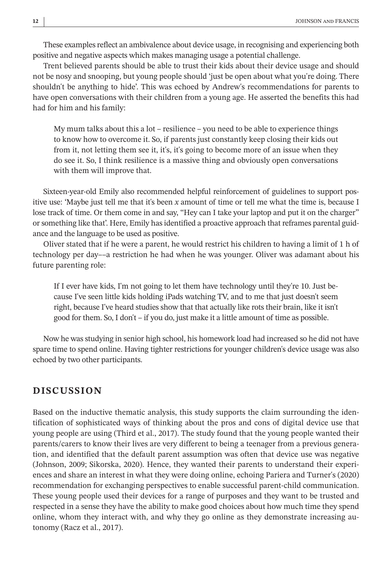These examples reflect an ambivalence about device usage, in recognising and experiencing both positive and negative aspects which makes managing usage a potential challenge.

Trent believed parents should be able to trust their kids about their device usage and should not be nosy and snooping, but young people should 'just be open about what you're doing. There shouldn't be anything to hide'. This was echoed by Andrew's recommendations for parents to have open conversations with their children from a young age. He asserted the benefits this had had for him and his family:

My mum talks about this a lot – resilience – you need to be able to experience things to know how to overcome it. So, if parents just constantly keep closing their kids out from it, not letting them see it, it's, it's going to become more of an issue when they do see it. So, I think resilience is a massive thing and obviously open conversations with them will improve that.

Sixteen-year-old Emily also recommended helpful reinforcement of guidelines to support positive use: 'Maybe just tell me that it's been *x* amount of time or tell me what the time is, because I lose track of time. Or them come in and say, "Hey can I take your laptop and put it on the charger" or something like that'. Here, Emily has identified a proactive approach that reframes parental guidance and the language to be used as positive.

Oliver stated that if he were a parent, he would restrict his children to having a limit of 1 h of technology per day––a restriction he had when he was younger. Oliver was adamant about his future parenting role:

If I ever have kids, I'm not going to let them have technology until they're 10. Just because I've seen little kids holding iPads watching TV, and to me that just doesn't seem right, because I've heard studies show that that actually like rots their brain, like it isn't good for them. So, I don't – if you do, just make it a little amount of time as possible.

Now he was studying in senior high school, his homework load had increased so he did not have spare time to spend online. Having tighter restrictions for younger children's device usage was also echoed by two other participants.

# **DISCUSSION**

Based on the inductive thematic analysis, this study supports the claim surrounding the identification of sophisticated ways of thinking about the pros and cons of digital device use that young people are using (Third et al., 2017). The study found that the young people wanted their parents/carers to know their lives are very different to being a teenager from a previous generation, and identified that the default parent assumption was often that device use was negative (Johnson, 2009; Sikorska, 2020). Hence, they wanted their parents to understand their experiences and share an interest in what they were doing online, echoing Pariera and Turner's (2020) recommendation for exchanging perspectives to enable successful parent-child communication. These young people used their devices for a range of purposes and they want to be trusted and respected in a sense they have the ability to make good choices about how much time they spend online, whom they interact with, and why they go online as they demonstrate increasing autonomy (Racz et al., 2017).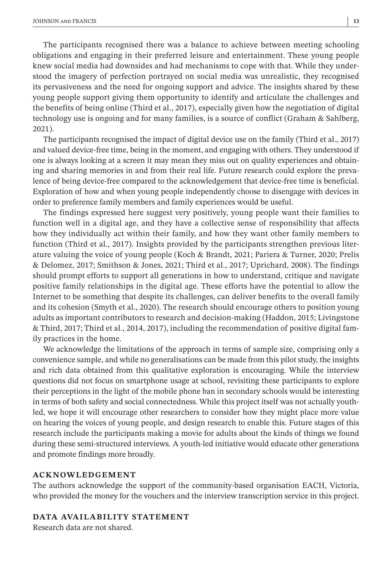The participants recognised there was a balance to achieve between meeting schooling obligations and engaging in their preferred leisure and entertainment. These young people knew social media had downsides and had mechanisms to cope with that. While they understood the imagery of perfection portrayed on social media was unrealistic, they recognised its pervasiveness and the need for ongoing support and advice. The insights shared by these young people support giving them opportunity to identify and articulate the challenges and the benefits of being online (Third et al., 2017), especially given how the negotiation of digital technology use is ongoing and for many families, is a source of conflict (Graham & Sahlberg, 2021).

The participants recognised the impact of digital device use on the family (Third et al., 2017) and valued device-free time, being in the moment, and engaging with others. They understood if one is always looking at a screen it may mean they miss out on quality experiences and obtaining and sharing memories in and from their real life. Future research could explore the prevalence of being device-free compared to the acknowledgement that device-free time is beneficial. Exploration of how and when young people independently choose to disengage with devices in order to preference family members and family experiences would be useful.

The findings expressed here suggest very positively, young people want their families to function well in a digital age, and they have a collective sense of responsibility that affects how they individually act within their family, and how they want other family members to function (Third et al., 2017). Insights provided by the participants strengthen previous literature valuing the voice of young people (Koch & Brandt, 2021; Pariera & Turner, 2020; Prelis & Delomez, 2017; Smithson & Jones, 2021; Third et al., 2017; Uprichard, 2008). The findings should prompt efforts to support all generations in how to understand, critique and navigate positive family relationships in the digital age. These efforts have the potential to allow the Internet to be something that despite its challenges, can deliver benefits to the overall family and its cohesion (Smyth et al., 2020). The research should encourage others to position young adults as important contributors to research and decision-making (Haddon, 2015; Livingstone & Third, 2017; Third et al., 2014, 2017), including the recommendation of positive digital family practices in the home.

We acknowledge the limitations of the approach in terms of sample size, comprising only a convenience sample, and while no generalisations can be made from this pilot study, the insights and rich data obtained from this qualitative exploration is encouraging. While the interview questions did not focus on smartphone usage at school, revisiting these participants to explore their perceptions in the light of the mobile phone ban in secondary schools would be interesting in terms of both safety and social connectedness. While this project itself was not actually youthled, we hope it will encourage other researchers to consider how they might place more value on hearing the voices of young people, and design research to enable this. Future stages of this research include the participants making a movie for adults about the kinds of things we found during these semi-structured interviews. A youth-led initiative would educate other generations and promote findings more broadly.

#### **ACKNOWLEDGEMENT**

The authors acknowledge the support of the community-based organisation EACH, Victoria, who provided the money for the vouchers and the interview transcription service in this project.

#### **DATA AVAILABILITY STATEMENT**

Research data are not shared.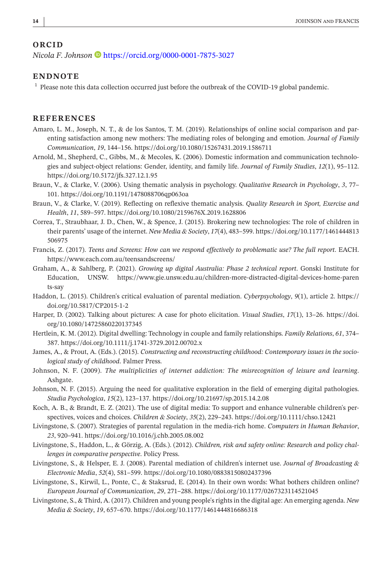#### **ORCID**

*Nicola F. Johnson* **D** <https://orcid.org/0000-0001-7875-3027>

#### **ENDNOTE**

<sup>1</sup> Please note this data collection occurred just before the outbreak of the COVID-19 global pandemic.

#### **REFERENCES**

- Amaro, L. M., Joseph, N. T., & de los Santos, T. M. (2019). Relationships of online social comparison and parenting satisfaction among new mothers: The mediating roles of belonging and emotion. *Journal of Family Communication*, *19*, 144–156.<https://doi.org/10.1080/15267431.2019.1586711>
- Arnold, M., Shepherd, C., Gibbs, M., & Mecoles, K. (2006). Domestic information and communication technologies and subject-object relations: Gender, identity, and family life. *Journal of Family Studies*, *12*(1), 95–112. <https://doi.org/10.5172/jfs.327.12.1.95>
- Braun, V., & Clarke, V. (2006). Using thematic analysis in psychology. *Qualitative Research in Psychology*, *3*, 77– 101.<https://doi.org/10.1191/1478088706qp063oa>
- Braun, V., & Clarke, V. (2019). Reflecting on reflexive thematic analysis. *Quality Research in Sport, Exercise and Health*, *11*, 589–597. <https://doi.org/10.1080/2159676X.2019.1628806>
- Correa, T., Straubhaar, J. D., Chen, W., & Spence, J. (2015). Brokering new technologies: The role of children in their parents' usage of the internet. *New Media & Society*, *17*(4), 483–599. [https://doi.org/10.1177/1461444813](https://doi.org/10.1177/1461444813506975) [506975](https://doi.org/10.1177/1461444813506975)
- Francis, Z. (2017). *Teens and Screens: How can we respond effectively to problematic use? The full report*. EACH. <https://www.each.com.au/teensandscreens/>
- Graham, A., & Sahlberg, P. (2021). *Growing up digital Australia: Phase 2 technical report*. Gonski Institute for Education, UNSW. [https://www.gie.unsw.edu.au/children-more-distracted-digital-devices-home-paren](https://www.gie.unsw.edu.au/children-more-distracted-digital-devices-home-parents-say) [ts-say](https://www.gie.unsw.edu.au/children-more-distracted-digital-devices-home-parents-say)
- Haddon, L. (2015). Children's critical evaluation of parental mediation. *Cyberpsychology*, *9*(1), article 2. [https://](https://doi.org/10.5817/CP2015-1-2) [doi.org/10.5817/CP2015-1-2](https://doi.org/10.5817/CP2015-1-2)
- Harper, D. (2002). Talking about pictures: A case for photo elicitation. *Visual Studies*, *17*(1), 13–26. [https://doi.](https://doi.org/10.1080/14725860220137345) [org/10.1080/14725860220137345](https://doi.org/10.1080/14725860220137345)
- Hertlein, K. M. (2012). Digital dwelling: Technology in couple and family relationships. *Family Relations*, *61*, 374– 387.<https://doi.org/10.1111/j.1741-3729.2012.00702.x>
- James, A., & Prout, A. (Eds.). (2015). *Constructing and reconstructing childhood: Contemporary issues in the sociological study of childhood*. Falmer Press.
- Johnson, N. F. (2009). *The multiplicities of internet addiction: The misrecognition of leisure and learning*. Ashgate.
- Johnson, N. F. (2015). Arguing the need for qualitative exploration in the field of emerging digital pathologies. *Studia Psychologica*, *15*(2), 123–137. <https://doi.org/10.21697/sp.2015.14.2.08>
- Koch, A. B., & Brandt, E. Z. (2021). The use of digital media: To support and enhance vulnerable children's perspectives, voices and choices. *Children & Society*, *35*(2), 229–243. <https://doi.org/10.1111/chso.12421>
- Livingstone, S. (2007). Strategies of parental regulation in the media-rich home. *Computers in Human Behavior*, *23*, 920–941. <https://doi.org/10.1016/j.chb.2005.08.002>
- Livingstone, S., Haddon, L., & Görzig, A. (Eds.). (2012). *Children, risk and safety online: Research and policy challenges in comparative perspective*. Policy Press.
- Livingstone, S., & Helsper, E. J. (2008). Parental mediation of children's internet use. *Journal of Broadcasting & Electronic Media*, *52*(4), 581–599.<https://doi.org/10.1080/08838150802437396>
- Livingstone, S., Kirwil, L., Ponte, C., & Staksrud, E. (2014). In their own words: What bothers children online? *European Journal of Communication*, *29*, 271–288.<https://doi.org/10.1177/0267323114521045>
- Livingstone, S., & Third, A. (2017). Children and young people's rights in the digital age: An emerging agenda. *New Media & Society*, *19*, 657–670.<https://doi.org/10.1177/1461444816686318>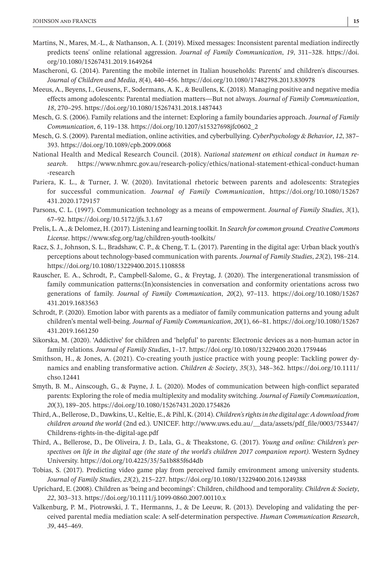- Martins, N., Mares, M.-L., & Nathanson, A. I. (2019). Mixed messages: Inconsistent parental mediation indirectly predicts teens' online relational aggression. *Journal of Family Communication*, *19*, 311–328. [https://doi.](https://doi.org/10.1080/15267431.2019.1649264) [org/10.1080/15267431.2019.1649264](https://doi.org/10.1080/15267431.2019.1649264)
- Mascheroni, G. (2014). Parenting the mobile internet in Italian households: Parents' and children's discourses. *Journal of Children and Media*, *8*(4), 440–456. <https://doi.org/10.1080/17482798.2013.830978>
- Meeus, A., Beyens, I., Geusens, F., Sodermans, A. K., & Beullens, K. (2018). Managing positive and negative media effects among adolescents: Parental mediation matters—But not always. *Journal of Family Communication*, *18*, 270–295. <https://doi.org/10.1080/15267431.2018.1487443>
- Mesch, G. S. (2006). Family relations and the internet: Exploring a family boundaries approach. *Journal of Family Communication*, *6*, 119–138. [https://doi.org/10.1207/s15327698jfc0602\\_2](https://doi.org/10.1207/s15327698jfc0602_2)
- Mesch, G. S. (2009). Parental mediation, online activities, and cyberbullying. *CyberPsychology & Behavior*, *12*, 387– 393.<https://doi.org/10.1089/cpb.2009.0068>
- National Health and Medical Research Council. (2018). *National statement on ethical conduct in human research*. [https://www.nhmrc.gov.au/research-policy/ethics/national-statement-ethical-conduct-human](https://www.nhmrc.gov.au/research-policy/ethics/national-statement-ethical-conduct-human-research) [-research](https://www.nhmrc.gov.au/research-policy/ethics/national-statement-ethical-conduct-human-research)
- Pariera, K. L., & Turner, J. W. (2020). Invitational rhetoric between parents and adolescents: Strategies for successful communication. *Journal of Family Communication*, [https://doi.org/10.1080/15267](https://doi.org/10.1080/15267431.2020.1729157) [431.2020.1729157](https://doi.org/10.1080/15267431.2020.1729157)
- Parsons, C. L. (1997). Communication technology as a means of empowerment. *Journal of Family Studies*, *3*(1), 67–92. <https://doi.org/10.5172/jfs.3.1.67>
- Prelis, L. A., & Delomez, H. (2017). Listening and learning toolkit. In *Search for common ground. Creative Commons License*.<https://www.sfcg.org/tag/children-youth-toolkits/>
- Racz, S. J., Johnson, S. L., Bradshaw, C. P., & Cheng, T. L. (2017). Parenting in the digital age: Urban black youth's perceptions about technology-based communication with parents. *Journal of Family Studies*, *23*(2), 198–214. <https://doi.org/10.1080/13229400.2015.1108858>
- Rauscher, E. A., Schrodt, P., Campbell-Salome, G., & Freytag, J. (2020). The intergenerational transmission of family communication patterns:(In)consistencies in conversation and conformity orientations across two generations of family. *Journal of Family Communication*, *20*(2), 97–113. [https://doi.org/10.1080/15267](https://doi.org/10.1080/15267431.2019.1683563) [431.2019.1683563](https://doi.org/10.1080/15267431.2019.1683563)
- Schrodt, P. (2020). Emotion labor with parents as a mediator of family communication patterns and young adult children's mental well-being. *Journal of Family Communication*, *20*(1), 66–81. [https://doi.org/10.1080/15267](https://doi.org/10.1080/15267431.2019.1661250) [431.2019.1661250](https://doi.org/10.1080/15267431.2019.1661250)
- Sikorska, M. (2020). 'Addictive' for children and 'helpful' to parents: Electronic devices as a non-human actor in family relations. *Journal of Family Studies*, 1–17. <https://doi.org/10.1080/13229400.2020.1759446>
- Smithson, H., & Jones, A. (2021). Co-creating youth justice practice with young people: Tackling power dynamics and enabling transformative action. *Children & Society*, *35*(3), 348–362. [https://doi.org/10.1111/](https://doi.org/10.1111/chso.12441) [chso.12441](https://doi.org/10.1111/chso.12441)
- Smyth, B. M., Ainscough, G., & Payne, J. L. (2020). Modes of communication between high-conflict separated parents: Exploring the role of media multiplexity and modality switching. *Journal of Family Communication*, *20*(3), 189–205. <https://doi.org/10.1080/15267431.2020.1754826>
- Third, A., Bellerose, D., Dawkins, U., Keltie, E., & Pihl, K. (2014). *Children's rights in the digital age: A download from children around the world* (2nd ed.). UNICEF. [http://www.uws.edu.au/\\_\\_data/assets/pdf\\_file/0003/753447/](http://www.uws.edu.au/__data/assets/pdf_file/0003/753447/Childrens-rights-in-the-digital-age.pdf) [Childrens-rights-in-the-digital-age.pdf](http://www.uws.edu.au/__data/assets/pdf_file/0003/753447/Childrens-rights-in-the-digital-age.pdf)
- Third, A., Bellerose, D., De Oliveira, J. D., Lala, G., & Theakstone, G. (2017). *Young and online: Children's perspectives on life in the digital age (the state of the world's children 2017 companion report)*. Western Sydney University.<https://doi.org/10.4225/35/5a1b885f6d4db>
- Tobias, S. (2017). Predicting video game play from perceived family environment among university students. *Journal of Family Studies*, *23*(2), 215–227. <https://doi.org/10.1080/13229400.2016.1249388>
- Uprichard, E. (2008). Children as 'being and becomings': Children, childhood and temporality. *Children & Society*, *22*, 303–313. <https://doi.org/10.1111/j.1099-0860.2007.00110.x>
- Valkenburg, P. M., Piotrowski, J. T., Hermanns, J., & De Leeuw, R. (2013). Developing and validating the perceived parental media mediation scale: A self-determination perspective. *Human Communication Research*, *39*, 445–469.